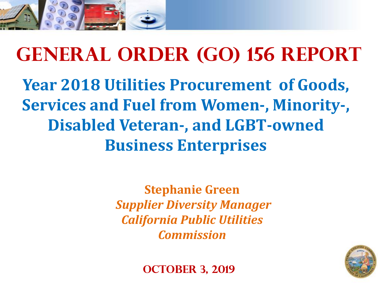

# **General Order (GO) 156 Report Year 2018 Utilities Procurement of Goods, Services and Fuel from Women-, Minority-, Disabled Veteran-, and LGBT-owned Business Enterprises**

**Stephanie Green** *Supplier Diversity Manager California Public Utilities Commission*



**OCTOBER 3, 2019**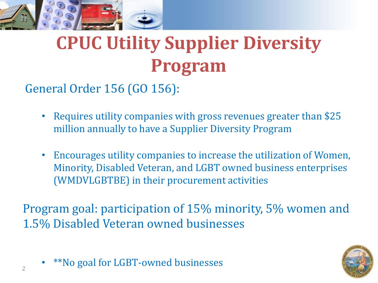

# **CPUC Utility Supplier Diversity Program**

General Order 156 (GO 156):

- Requires utility companies with gross revenues greater than \$25 million annually to have a Supplier Diversity Program
- Encourages utility companies to increase the utilization of Women, Minority, Disabled Veteran, and LGBT owned business enterprises (WMDVLGBTBE) in their procurement activities

Program goal: participation of 15% minority, 5% women and 1.5% Disabled Veteran owned businesses



• \*\*No goal for LGBT-owned businesses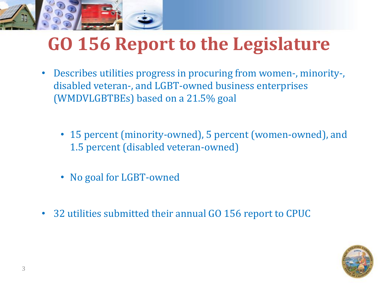

# **GO 156 Report to the Legislature**

- Describes utilities progress in procuring from women-, minority-, disabled veteran-, and LGBT-owned business enterprises (WMDVLGBTBEs) based on a 21.5% goal
	- 15 percent (minority-owned), 5 percent (women-owned), and 1.5 percent (disabled veteran-owned)
	- No goal for LGBT-owned
- 32 utilities submitted their annual GO 156 report to CPUC

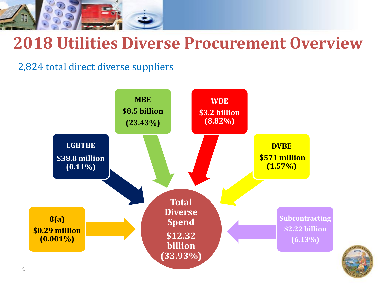

#### **2018 Utilities Diverse Procurement Overview**

2,824 total direct diverse suppliers



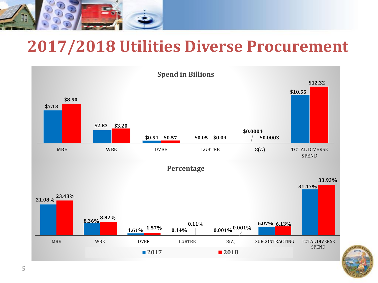

#### **2017/2018 Utilities Diverse Procurement**



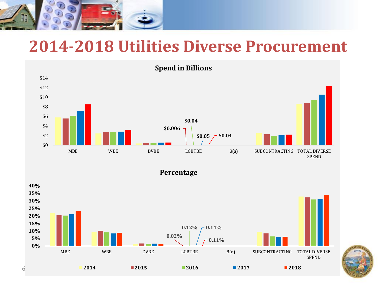

#### **2014-2018 Utilities Diverse Procurement**

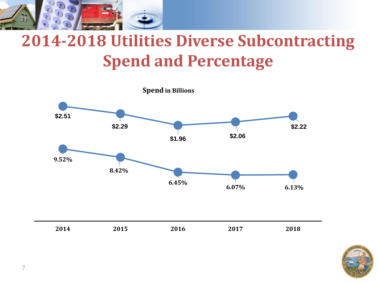

# **2014-2018 Utilities Diverse Subcontracting Spend and Percentage**



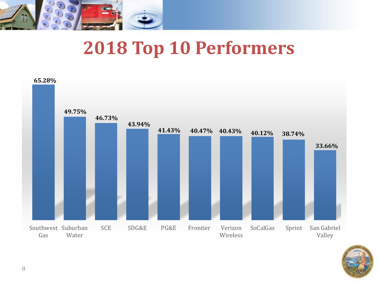

# **2018 Top 10 Performers**



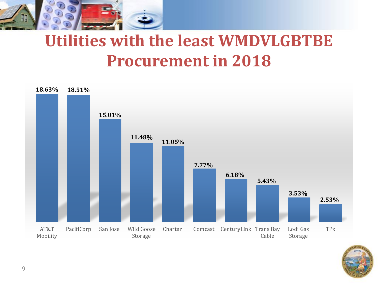

## **Utilities with the least WMDVLGBTBE Procurement in 2018**



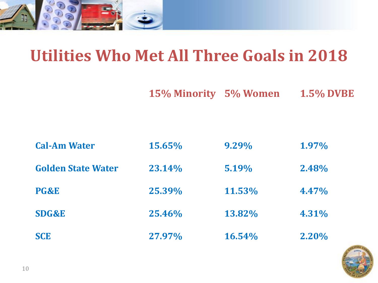

## **Utilities Who Met All Three Goals in 2018**

**15% Minority 5% Women 1.5% DVBE**

| <b>Cal-Am Water</b>       | 15.65% | 9.29%     | 1.97% |
|---------------------------|--------|-----------|-------|
| <b>Golden State Water</b> | 23.14% | 5.19%     | 2.48% |
| PG&E                      | 25.39% | 11.53%    | 4.47% |
| <b>SDG&amp;E</b>          | 25.46% | 13.82%    | 4.31% |
| <b>SCE</b>                | 27.97% | $16.54\%$ | 2.20% |

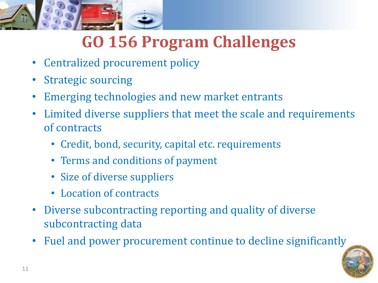

## **GO 156 Program Challenges**

- Centralized procurement policy
- Strategic sourcing
- Emerging technologies and new market entrants
- Limited diverse suppliers that meet the scale and requirements of contracts
	- Credit, bond, security, capital etc. requirements
	- Terms and conditions of payment
	- Size of diverse suppliers
	- Location of contracts
- Diverse subcontracting reporting and quality of diverse subcontracting data
- Fuel and power procurement continue to decline significantly

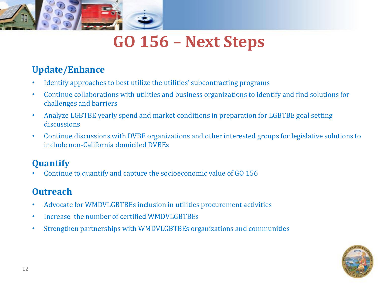

## **GO 156 – Next Steps**

#### **Update/Enhance**

- Identify approaches to best utilize the utilities' subcontracting programs
- Continue collaborations with utilities and business organizations to identify and find solutions for challenges and barriers
- Analyze LGBTBE yearly spend and market conditions in preparation for LGBTBE goal setting discussions
- Continue discussions with DVBE organizations and other interested groups for legislative solutions to include non-California domiciled DVBEs

#### **Quantify**

• Continue to quantify and capture the socioeconomic value of GO 156

#### **Outreach**

- Advocate for WMDVLGBTBEs inclusion in utilities procurement activities
- Increase the number of certified WMDVLGBTBEs
- Strengthen partnerships with WMDVLGBTBEs organizations and communities